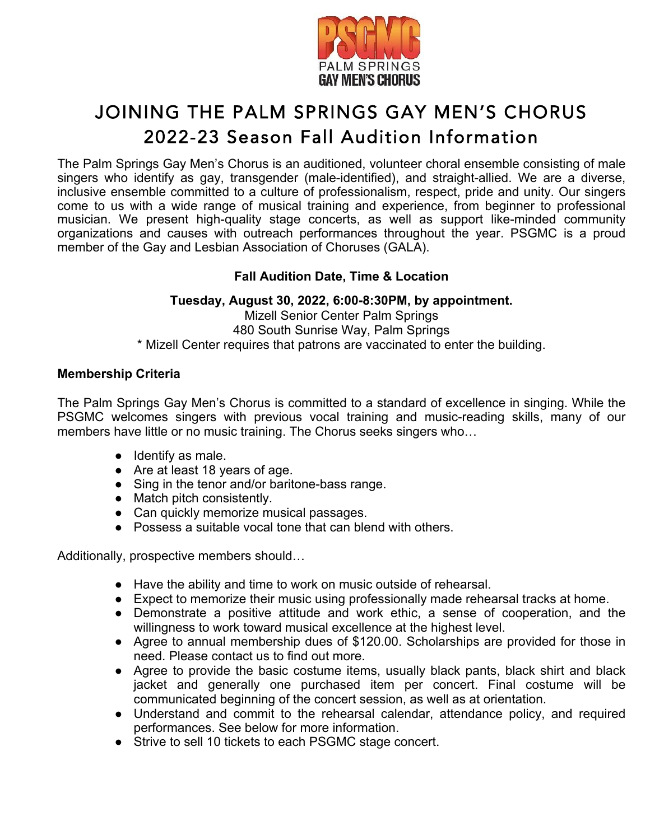

# JOINING THE PALM SPRINGS GAY MEN'S CHORUS 2022-23 Season Fall Audition Information

The Palm Springs Gay Men's Chorus is an auditioned, volunteer choral ensemble consisting of male singers who identify as gay, transgender (male-identified), and straight-allied. We are a diverse, inclusive ensemble committed to a culture of professionalism, respect, pride and unity. Our singers come to us with a wide range of musical training and experience, from beginner to professional musician. We present high-quality stage concerts, as well as support like-minded community organizations and causes with outreach performances throughout the year. PSGMC is a proud member of the Gay and Lesbian Association of Choruses (GALA).

# **Fall Audition Date, Time & Location**

# **Tuesday, August 30, 2022, 6:00-8:30PM, by appointment.**

Mizell Senior Center Palm Springs 480 South Sunrise Way, Palm Springs \* Mizell Center requires that patrons are vaccinated to enter the building.

# **Membership Criteria**

The Palm Springs Gay Men's Chorus is committed to a standard of excellence in singing. While the PSGMC welcomes singers with previous vocal training and music-reading skills, many of our members have little or no music training. The Chorus seeks singers who…

- Identify as male.
- Are at least 18 years of age.
- Sing in the tenor and/or baritone-bass range.
- Match pitch consistently.
- Can quickly memorize musical passages.
- Possess a suitable vocal tone that can blend with others.

Additionally, prospective members should…

- Have the ability and time to work on music outside of rehearsal.
- Expect to memorize their music using professionally made rehearsal tracks at home.
- Demonstrate a positive attitude and work ethic, a sense of cooperation, and the willingness to work toward musical excellence at the highest level.
- Agree to annual membership dues of \$120.00. Scholarships are provided for those in need. Please contact us to find out more.
- Agree to provide the basic costume items, usually black pants, black shirt and black jacket and generally one purchased item per concert. Final costume will be communicated beginning of the concert session, as well as at orientation.
- Understand and commit to the rehearsal calendar, attendance policy, and required performances. See below for more information.
- Strive to sell 10 tickets to each PSGMC stage concert.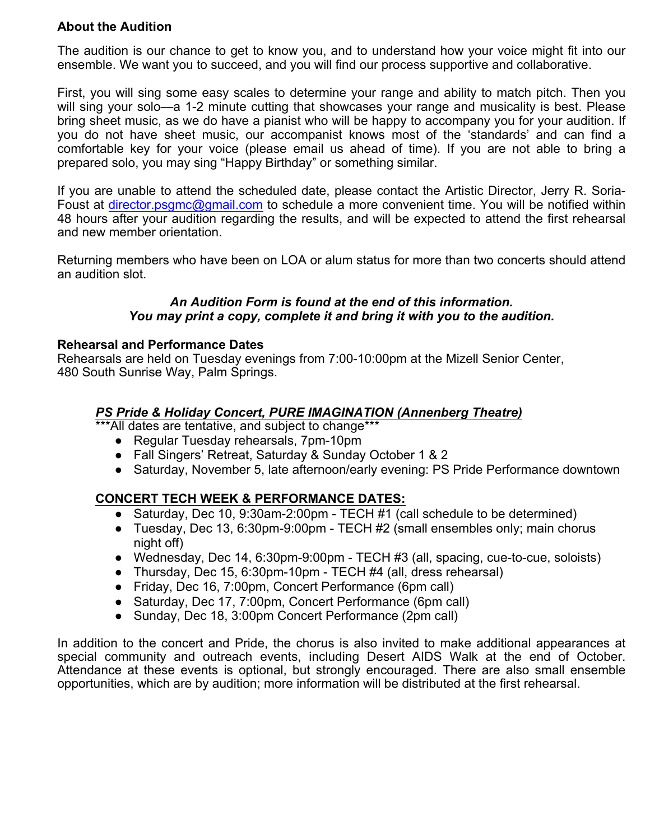# **About the Audition**

The audition is our chance to get to know you, and to understand how your voice might fit into our ensemble. We want you to succeed, and you will find our process supportive and collaborative.

First, you will sing some easy scales to determine your range and ability to match pitch. Then you will sing your solo—a 1-2 minute cutting that showcases your range and musicality is best. Please bring sheet music, as we do have a pianist who will be happy to accompany you for your audition. If you do not have sheet music, our accompanist knows most of the 'standards' and can find a comfortable key for your voice (please email us ahead of time). If you are not able to bring a prepared solo, you may sing "Happy Birthday" or something similar.

If you are unable to attend the scheduled date, please contact the Artistic Director, Jerry R. Soria-Foust at director.psgmc@gmail.com to schedule a more convenient time. You will be notified within 48 hours after your audition regarding the results, and will be expected to attend the first rehearsal and new member orientation.

Returning members who have been on LOA or alum status for more than two concerts should attend an audition slot.

#### *An Audition Form is found at the end of this information. You may print a copy, complete it and bring it with you to the audition.*

#### **Rehearsal and Performance Dates**

Rehearsals are held on Tuesday evenings from 7:00-10:00pm at the Mizell Senior Center, 480 South Sunrise Way, Palm Springs.

#### *PS Pride & Holiday Concert, PURE IMAGINATION (Annenberg Theatre)*

\*\*\*All dates are tentative, and subject to change\*\*\*

- Regular Tuesday rehearsals, 7pm-10pm
- Fall Singers' Retreat, Saturday & Sunday October 1 & 2
- Saturday, November 5, late afternoon/early evening: PS Pride Performance downtown

# **CONCERT TECH WEEK & PERFORMANCE DATES:**

- Saturday, Dec 10, 9:30am-2:00pm TECH #1 (call schedule to be determined)
- Tuesday, Dec 13, 6:30pm-9:00pm TECH #2 (small ensembles only; main chorus night off)
- Wednesday, Dec 14, 6:30pm-9:00pm TECH #3 (all, spacing, cue-to-cue, soloists)
- Thursday, Dec 15, 6:30pm-10pm TECH #4 (all, dress rehearsal)
- Friday, Dec 16, 7:00pm, Concert Performance (6pm call)
- Saturday, Dec 17, 7:00pm, Concert Performance (6pm call)
- Sunday, Dec 18, 3:00pm Concert Performance (2pm call)

In addition to the concert and Pride, the chorus is also invited to make additional appearances at special community and outreach events, including Desert AIDS Walk at the end of October. Attendance at these events is optional, but strongly encouraged. There are also small ensemble opportunities, which are by audition; more information will be distributed at the first rehearsal.